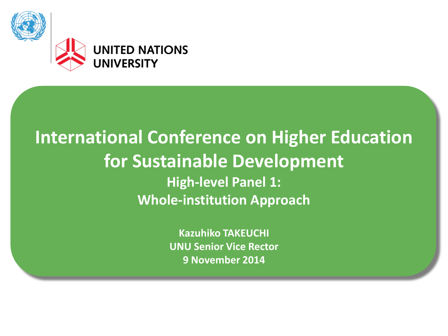

### **International Conference on Higher Education for Sustainable Development High-level Panel 1: Whole-institution Approach**

**Kazuhiko TAKEUCHI UNU Senior Vice Rector 9 November 2014**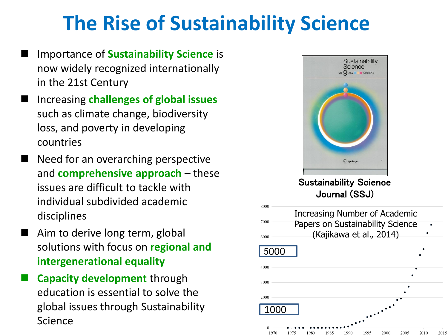## **The Rise of Sustainability Science**

- Importance of **Sustainability Science** is now widely recognized internationally in the 21st Century
- Increasing **challenges of global issues**  such as climate change, biodiversity loss, and poverty in developing countries
- Need for an overarching perspective and **comprehensive approach** – these issues are difficult to tackle with individual subdivided academic disciplines
- Aim to derive long term, global solutions with focus on **regional and intergenerational equality**
- **Capacity development** through education is essential to solve the global issues through Sustainability Science



Journal (SSJ)

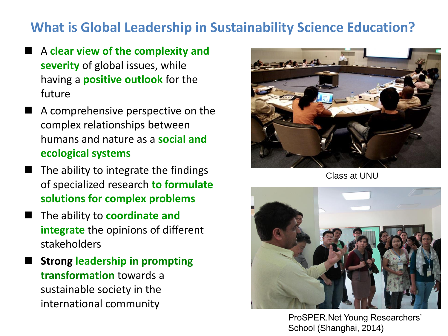#### **What is Global Leadership in Sustainability Science Education?**

- A **clear view of the complexity and severity** of global issues, while having a **positive outlook** for the future
- A comprehensive perspective on the complex relationships between humans and nature as a **social and ecological systems**
- The ability to integrate the findings of specialized research **to formulate solutions for complex problems**
- The ability to **coordinate and integrate** the opinions of different stakeholders
- **Strong leadership in prompting transformation** towards a sustainable society in the international community



Class at UNU



ProSPER.Net Young Researchers' School (Shanghai, 2014)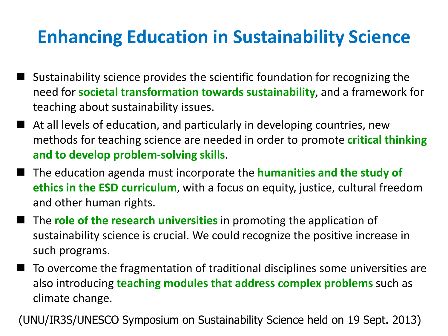## **Enhancing Education in Sustainability Science**

- Sustainability science provides the scientific foundation for recognizing the need for **societal transformation towards sustainability**, and a framework for teaching about sustainability issues.
- At all levels of education, and particularly in developing countries, new methods for teaching science are needed in order to promote **critical thinking and to develop problem-solving skills**.
- The education agenda must incorporate the **humanities and the study of ethics in the ESD curriculum**, with a focus on equity, justice, cultural freedom and other human rights.
- The **role of the research universities** in promoting the application of sustainability science is crucial. We could recognize the positive increase in such programs.
- To overcome the fragmentation of traditional disciplines some universities are also introducing **teaching modules that address complex problems** such as climate change.

(UNU/IR3S/UNESCO Symposium on Sustainability Science held on 19 Sept. 2013)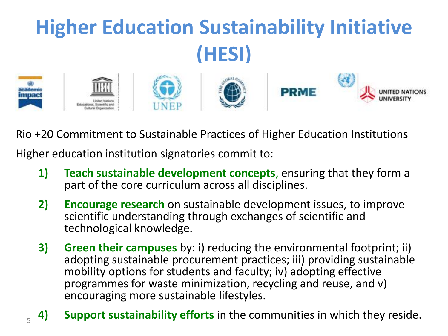

Rio +20 Commitment to Sustainable Practices of Higher Education Institutions

Higher education institution signatories commit to:

5

- **1) Teach sustainable development concepts**, ensuring that they form a part of the core curriculum across all disciplines.
- **2) Encourage research** on sustainable development issues, to improve scientific understanding through exchanges of scientific and technological knowledge.
- **3) Green their campuses** by: i) reducing the environmental footprint; ii) adopting sustainable procurement practices; iii) providing sustainable mobility options for students and faculty; iv) adopting effective programmes for waste minimization, recycling and reuse, and v) encouraging more sustainable lifestyles.
- **4) Support sustainability efforts** in the communities in which they reside.